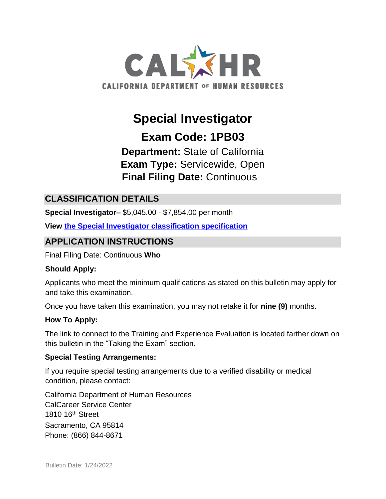

# **Special Investigator**

**Exam Code: 1PB03** 

**Department:** State of California **Exam Type:** Servicewide, Open **Final Filing Date:** Continuous

# **CLASSIFICATION DETAILS**

**Special Investigator–** \$5,045.00 - \$7,854.00 per month

**View [the Special Investigator classification specification](http://www.calhr.ca.gov/state-hr-professionals/pages/8611.aspx)**

# **APPLICATION INSTRUCTIONS**

Final Filing Date: Continuous **Who** 

#### **Should Apply:**

Applicants who meet the minimum qualifications as stated on this bulletin may apply for and take this examination.

Once you have taken this examination, you may not retake it for **nine (9)** months.

#### **How To Apply:**

The link to connect to the Training and Experience Evaluation is located farther down on this bulletin in the "Taking the Exam" section.

#### **Special Testing Arrangements:**

If you require special testing arrangements due to a verified disability or medical condition, please contact:

California Department of Human Resources CalCareer Service Center 1810 16th Street Sacramento, CA 95814 Phone: (866) 844-8671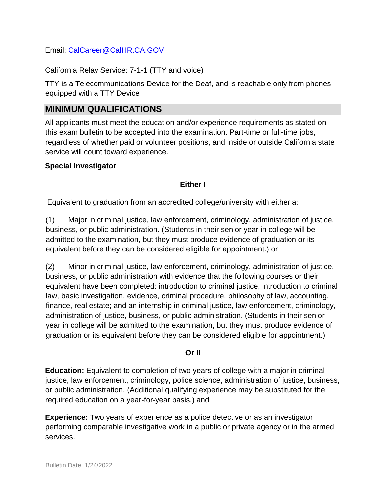Email: CalCareer@CalHR.CA.GOV

California Relay Service: 7-1-1 (TTY and voice)

TTY is a Telecommunications Device for the Deaf, and is reachable only from phones equipped with a TTY Device

## **MINIMUM QUALIFICATIONS**

All applicants must meet the education and/or experience requirements as stated on this exam bulletin to be accepted into the examination. Part-time or full-time jobs, regardless of whether paid or volunteer positions, and inside or outside California state service will count toward experience.

#### **Special Investigator**

#### **Either I**

Equivalent to graduation from an accredited college/university with either a:

(1) Major in criminal justice, law enforcement, criminology, administration of justice, business, or public administration. (Students in their senior year in college will be admitted to the examination, but they must produce evidence of graduation or its equivalent before they can be considered eligible for appointment.) or

(2) Minor in criminal justice, law enforcement, criminology, administration of justice, business, or public administration with evidence that the following courses or their equivalent have been completed: introduction to criminal justice, introduction to criminal law, basic investigation, evidence, criminal procedure, philosophy of law, accounting, finance, real estate; and an internship in criminal justice, law enforcement, criminology, administration of justice, business, or public administration. (Students in their senior year in college will be admitted to the examination, but they must produce evidence of graduation or its equivalent before they can be considered eligible for appointment.)

#### **Or II**

**Education:** Equivalent to completion of two years of college with a major in criminal justice, law enforcement, criminology, police science, administration of justice, business, or public administration. (Additional qualifying experience may be substituted for the required education on a year-for-year basis.) and

**Experience:** Two years of experience as a police detective or as an investigator performing comparable investigative work in a public or private agency or in the armed services.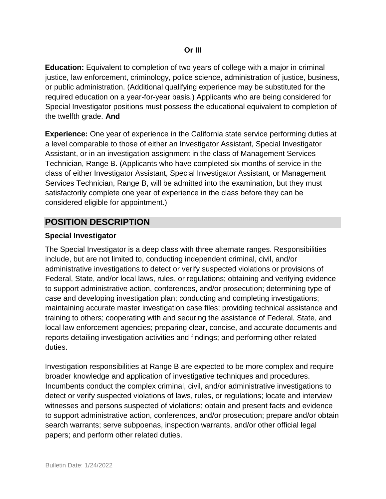**Education:** Equivalent to completion of two years of college with a major in criminal justice, law enforcement, criminology, police science, administration of justice, business, or public administration. (Additional qualifying experience may be substituted for the required education on a year-for-year basis.) Applicants who are being considered for Special Investigator positions must possess the educational equivalent to completion of the twelfth grade. **And**

**Experience:** One year of experience in the California state service performing duties at a level comparable to those of either an Investigator Assistant, Special Investigator Assistant, or in an investigation assignment in the class of Management Services Technician, Range B. (Applicants who have completed six months of service in the class of either Investigator Assistant, Special Investigator Assistant, or Management Services Technician, Range B, will be admitted into the examination, but they must satisfactorily complete one year of experience in the class before they can be considered eligible for appointment.)

## **POSITION DESCRIPTION**

#### **Special Investigator**

The Special Investigator is a deep class with three alternate ranges. Responsibilities include, but are not limited to, conducting independent criminal, civil, and/or administrative investigations to detect or verify suspected violations or provisions of Federal, State, and/or local laws, rules, or regulations; obtaining and verifying evidence to support administrative action, conferences, and/or prosecution; determining type of case and developing investigation plan; conducting and completing investigations; maintaining accurate master investigation case files; providing technical assistance and training to others; cooperating with and securing the assistance of Federal, State, and local law enforcement agencies; preparing clear, concise, and accurate documents and reports detailing investigation activities and findings; and performing other related duties.

Investigation responsibilities at Range B are expected to be more complex and require broader knowledge and application of investigative techniques and procedures. Incumbents conduct the complex criminal, civil, and/or administrative investigations to detect or verify suspected violations of laws, rules, or regulations; locate and interview witnesses and persons suspected of violations; obtain and present facts and evidence to support administrative action, conferences, and/or prosecution; prepare and/or obtain search warrants; serve subpoenas, inspection warrants, and/or other official legal papers; and perform other related duties.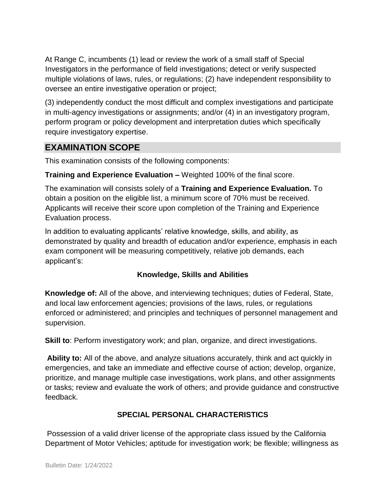At Range C, incumbents (1) lead or review the work of a small staff of Special Investigators in the performance of field investigations; detect or verify suspected multiple violations of laws, rules, or regulations; (2) have independent responsibility to oversee an entire investigative operation or project;

(3) independently conduct the most difficult and complex investigations and participate in multi-agency investigations or assignments; and/or (4) in an investigatory program, perform program or policy development and interpretation duties which specifically require investigatory expertise.

## **EXAMINATION SCOPE**

This examination consists of the following components:

**Training and Experience Evaluation –** Weighted 100% of the final score.

The examination will consists solely of a **Training and Experience Evaluation.** To obtain a position on the eligible list, a minimum score of 70% must be received. Applicants will receive their score upon completion of the Training and Experience Evaluation process.

In addition to evaluating applicants' relative knowledge, skills, and ability, as demonstrated by quality and breadth of education and/or experience, emphasis in each exam component will be measuring competitively, relative job demands, each applicant's:

#### **Knowledge, Skills and Abilities**

**Knowledge of:** All of the above, and interviewing techniques; duties of Federal, State, and local law enforcement agencies; provisions of the laws, rules, or regulations enforced or administered; and principles and techniques of personnel management and supervision.

**Skill to**: Perform investigatory work; and plan, organize, and direct investigations.

**Ability to:** All of the above, and analyze situations accurately, think and act quickly in emergencies, and take an immediate and effective course of action; develop, organize, prioritize, and manage multiple case investigations, work plans, and other assignments or tasks; review and evaluate the work of others; and provide guidance and constructive feedback.

## **SPECIAL PERSONAL CHARACTERISTICS**

Possession of a valid driver license of the appropriate class issued by the California Department of Motor Vehicles; aptitude for investigation work; be flexible; willingness as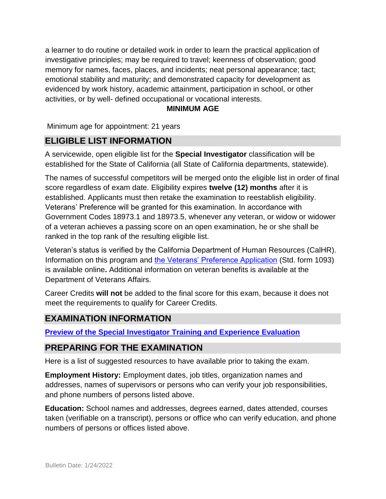a learner to do routine or detailed work in order to learn the practical application of investigative principles; may be required to travel; keenness of observation; good memory for names, faces, places, and incidents; neat personal appearance; tact; emotional stability and maturity; and demonstrated capacity for development as evidenced by work history, academic attainment, participation in school, or other activities, or by well- defined occupational or vocational interests.

#### **MINIMUM AGE**

Minimum age for appointment: 21 years

# **ELIGIBLE LIST INFORMATION**

A servicewide, open eligible list for the **Special Investigator** classification will be established for the State of California (all State of California departments, statewide).

The names of successful competitors will be merged onto the eligible list in order of final score regardless of exam date. Eligibility expires **twelve (12) months** after it is established. Applicants must then retake the examination to reestablish eligibility. Veterans' Preference will be granted for this examination. In accordance with Government Codes 18973.1 and 18973.5, whenever any veteran, or widow or widower of a veteran achieves a passing score on an open examination, he or she shall be ranked in the top rank of the resulting eligible list.

Veteran's status is verified by the California Department of Human Resources (CalHR). Information on this program and [the Veterans' Preference Application](https://www.jobs.ca.gov/CalHRPublic/Landing/Jobs/VeteransInformation.aspx) [\(](https://www.jobs.ca.gov/CalHRPublic/Landing/Jobs/VeteransInformation.aspx)Std. form 1093) is available online**.** Additional information on veteran benefits is available at the Department of Veterans Affairs.

Career Credits **will not** be added to the final score for this exam, because it does not meet the requirements to qualify for Career Credits.

## **EXAMINATION INFORMATION**

**[Preview of the Special Investigator Training and Experience Evaluation](https://jobs.ca.gov/jobsgen/1PB03A.pdf)** 

## **PREPARING FOR THE EXAMINATION**

Here is a list of suggested resources to have available prior to taking the exam.

**Employment History:** Employment dates, job titles, organization names and addresses, names of supervisors or persons who can verify your job responsibilities, and phone numbers of persons listed above.

**Education:** School names and addresses, degrees earned, dates attended, courses taken (verifiable on a transcript), persons or office who can verify education, and phone numbers of persons or offices listed above.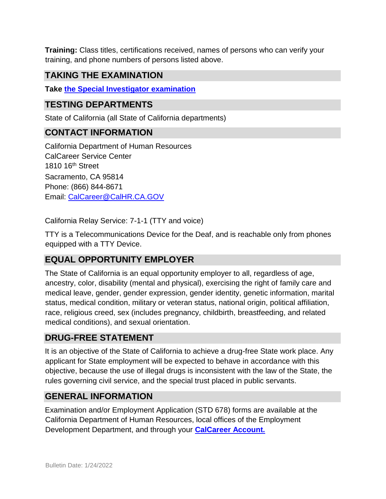**Training:** Class titles, certifications received, names of persons who can verify your training, and phone numbers of persons listed above.

# **TAKING THE EXAMINATION**

**Tak[e](https://exams.spb.ca.gov/exams/sinv/) [the Special Investigator examination](https://exams.spb.ca.gov/exams/sinv/)**

## **TESTING DEPARTMENTS**

State of California (all State of California departments)

## **CONTACT INFORMATION**

California Department of Human Resources CalCareer Service Center 1810 16th Street Sacramento, CA 95814 Phone: (866) 844-8671 Email: CalCareer@CalHR.CA.GOV

California Relay Service: 7-1-1 (TTY and voice)

TTY is a Telecommunications Device for the Deaf, and is reachable only from phones equipped with a TTY Device.

# **EQUAL OPPORTUNITY EMPLOYER**

The State of California is an equal opportunity employer to all, regardless of age, ancestry, color, disability (mental and physical), exercising the right of family care and medical leave, gender, gender expression, gender identity, genetic information, marital status, medical condition, military or veteran status, national origin, political affiliation, race, religious creed, sex (includes pregnancy, childbirth, breastfeeding, and related medical conditions), and sexual orientation.

## **DRUG-FREE STATEMENT**

It is an objective of the State of California to achieve a drug-free State work place. Any applicant for State employment will be expected to behave in accordance with this objective, because the use of illegal drugs is inconsistent with the law of the State, the rules governing civil service, and the special trust placed in public servants.

## **GENERAL INFORMATION**

Examination and/or Employment Application (STD 678) forms are available at the California Department of Human Resources, local offices of the Employment Development Department, and through your **[CalCareer Account.](http://www.jobs.ca.gov/)**